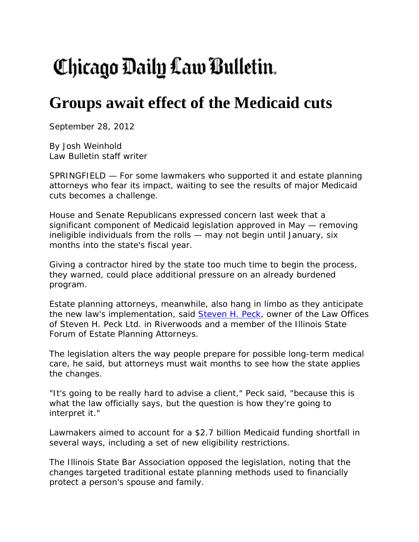## Chicago Daily Law Bulletin.

## **Groups await effect of the Medicaid cuts**

September 28, 2012

By Josh Weinhold Law Bulletin staff writer

SPRINGFIELD — For some lawmakers who supported it and estate planning attorneys who fear its impact, waiting to see the results of major Medicaid cuts becomes a challenge.

House and Senate Republicans expressed concern last week that a significant component of Medicaid legislation approved in May — removing ineligible individuals from the rolls — may not begin until January, six months into the state's fiscal year.

Giving a contractor hired by the state too much time to begin the process, they warned, could place additional pressure on an already burdened program.

Estate planning attorneys, meanwhile, also hang in limbo as they anticipate the new law's implementation, said Steven H. Peck, owner of the Law Offices of Steven H. Peck Ltd. in Riverwoods and a member of the Illinois State Forum of Estate Planning Attorneys.

The legislation alters the way people prepare for possible long-term medical care, he said, but attorneys must wait months to see how the state applies the changes.

"It's going to be really hard to advise a client," Peck said, "because this is what the law officially says, but the question is how they're going to interpret it."

Lawmakers aimed to account for a \$2.7 billion Medicaid funding shortfall in several ways, including a set of new eligibility restrictions.

The Illinois State Bar Association opposed the legislation, noting that the changes targeted traditional estate planning methods used to financially protect a person's spouse and family.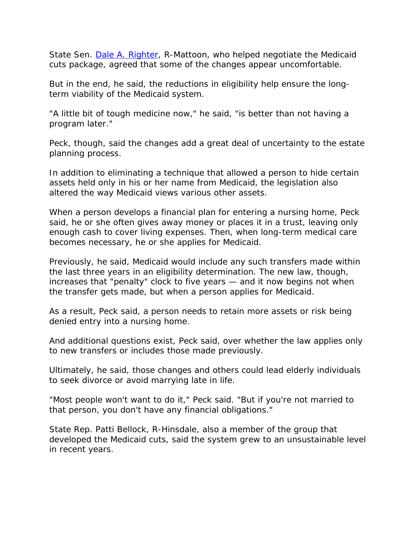State Sen. Dale A. Righter, R-Mattoon, who helped negotiate the Medicaid cuts package, agreed that some of the changes appear uncomfortable.

But in the end, he said, the reductions in eligibility help ensure the longterm viability of the Medicaid system.

"A little bit of tough medicine now," he said, "is better than not having a program later."

Peck, though, said the changes add a great deal of uncertainty to the estate planning process.

In addition to eliminating a technique that allowed a person to hide certain assets held only in his or her name from Medicaid, the legislation also altered the way Medicaid views various other assets.

When a person develops a financial plan for entering a nursing home, Peck said, he or she often gives away money or places it in a trust, leaving only enough cash to cover living expenses. Then, when long-term medical care becomes necessary, he or she applies for Medicaid.

Previously, he said, Medicaid would include any such transfers made within the last three years in an eligibility determination. The new law, though, increases that "penalty" clock to five years — and it now begins not when the transfer gets made, but when a person applies for Medicaid.

As a result, Peck said, a person needs to retain more assets or risk being denied entry into a nursing home.

And additional questions exist, Peck said, over whether the law applies only to new transfers or includes those made previously.

Ultimately, he said, those changes and others could lead elderly individuals to seek divorce or avoid marrying late in life.

"Most people won't want to do it," Peck said. "But if you're not married to that person, you don't have any financial obligations."

State Rep. Patti Bellock, R-Hinsdale, also a member of the group that developed the Medicaid cuts, said the system grew to an unsustainable level in recent years.